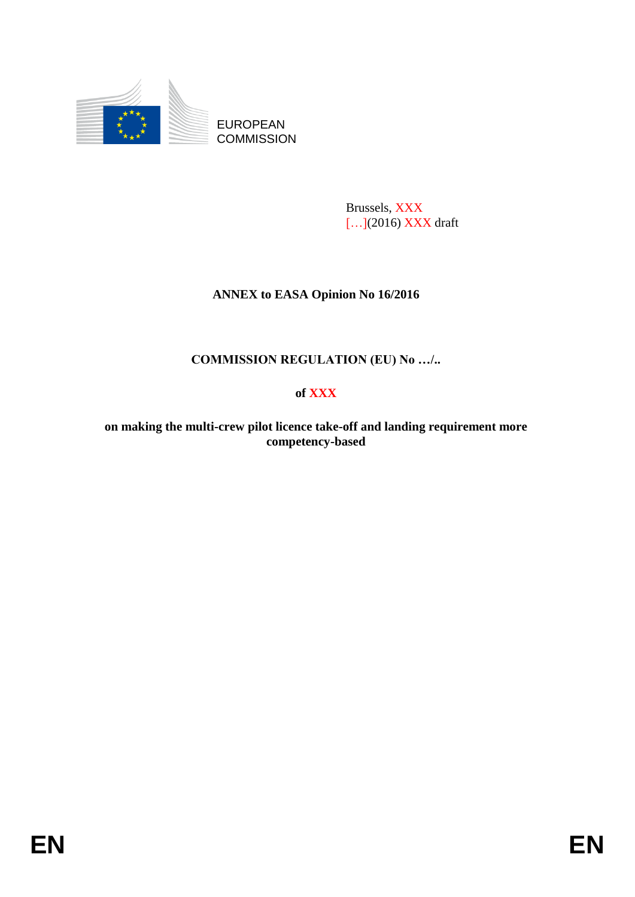

EUROPEAN **COMMISSION** 

> Brussels, XXX [...](2016) XXX draft

## **ANNEX to EASA Opinion No 16/2016**

# **COMMISSION REGULATION (EU) No …/..**

## **of XXX**

**on making the multi-crew pilot licence take-off and landing requirement more competency-based**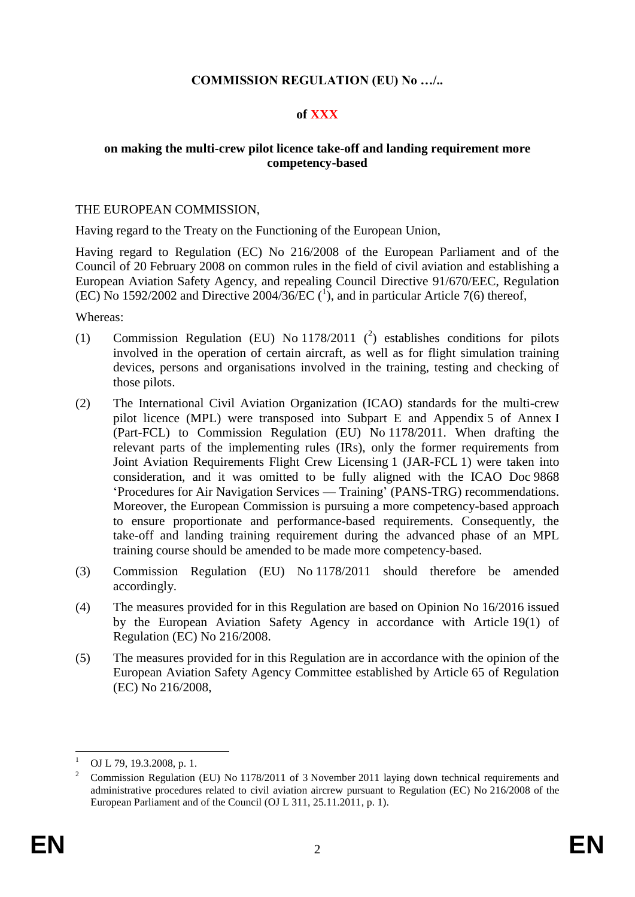## **COMMISSION REGULATION (EU) No …/..**

## **of XXX**

### **on making the multi-crew pilot licence take-off and landing requirement more competency-based**

#### THE EUROPEAN COMMISSION,

Having regard to the Treaty on the Functioning of the European Union,

Having regard to Regulation (EC) No 216/2008 of the European Parliament and of the Council of 20 February 2008 on common rules in the field of civil aviation and establishing a European Aviation Safety Agency, and repealing Council Directive 91/670/EEC, Regulation (EC) No 1592/2002 and Directive 2004/36/EC  $({}^{1})$ , and in particular Article 7(6) thereof,

Whereas:

- (1) Commission Regulation (EU) No  $1178/2011$  (<sup>2</sup>) establishes conditions for pilots involved in the operation of certain aircraft, as well as for flight simulation training devices, persons and organisations involved in the training, testing and checking of those pilots.
- (2) The International Civil Aviation Organization (ICAO) standards for the multi-crew pilot licence (MPL) were transposed into Subpart E and Appendix 5 of Annex I (Part-FCL) to Commission Regulation (EU) No 1178/2011. When drafting the relevant parts of the implementing rules (IRs), only the former requirements from Joint Aviation Requirements Flight Crew Licensing 1 (JAR-FCL 1) were taken into consideration, and it was omitted to be fully aligned with the ICAO Doc 9868 'Procedures for Air Navigation Services — Training' (PANS-TRG) recommendations. Moreover, the European Commission is pursuing a more competency-based approach to ensure proportionate and performance-based requirements. Consequently, the take-off and landing training requirement during the advanced phase of an MPL training course should be amended to be made more competency-based.
- (3) Commission Regulation (EU) No 1178/2011 should therefore be amended accordingly.
- (4) The measures provided for in this Regulation are based on Opinion No 16/2016 issued by the European Aviation Safety Agency in accordance with Article 19(1) of Regulation (EC) No 216/2008.
- (5) The measures provided for in this Regulation are in accordance with the opinion of the European Aviation Safety Agency Committee established by Article 65 of Regulation (EC) No 216/2008,

<sup>1</sup> OJ L 79, 19.3.2008, p. 1.

<sup>2</sup> Commission Regulation (EU) No 1178/2011 of 3 November 2011 laying down technical requirements and administrative procedures related to civil aviation aircrew pursuant to Regulation (EC) No 216/2008 of the European Parliament and of the Council (OJ L 311, 25.11.2011, p. 1).